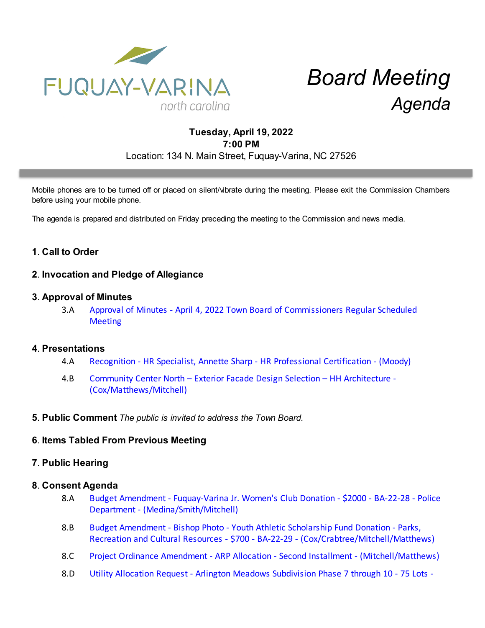

# *Board Meeting Agenda*

# **Tuesday, April 19, 2022 7:00 PM** Location: 134 N. Main Street, Fuquay-Varina, NC 27526

Mobile phones are to be turned off or placed on silent/vibrate during the meeting. Please exit the Commission Chambers before using your mobile phone.

The agenda is prepared and distributed on Friday preceding the meeting to the Commission and news media.

# **1**. **Call to Order**

## **2**. **Invocation and Pledge of Allegiance**

### **3**. **Approval of Minutes**

3.A [Approval of Minutes - April 4, 2022 Town Board of Commissioners Regular Scheduled](https://d2kbkoa27fdvtw.cloudfront.net/fuquay-varina/99cfce54e9c5a1e0ddead263c15ffce80.pdf) **[Meeting](https://d2kbkoa27fdvtw.cloudfront.net/fuquay-varina/99cfce54e9c5a1e0ddead263c15ffce80.pdf)** 

#### **4**. **Presentations**

- 4.A [Recognition HR Specialist, Annette Sharp HR Professional Certification \(Moody\)](https://d2kbkoa27fdvtw.cloudfront.net/fuquay-varina/6fd7e0dc4c3f19ae05295678f1c6fc0b0.pdf)
- 4.B [Community Center North Exterior Facade Design Selection HH Architecture -](https://d2kbkoa27fdvtw.cloudfront.net/fuquay-varina/0b4922342fea940202058690a379a51c0.pdf) [\(Cox/Matthews/Mitchell\)](https://d2kbkoa27fdvtw.cloudfront.net/fuquay-varina/0b4922342fea940202058690a379a51c0.pdf)
- **5**. **Public Comment** *The public is invited to address the Town Board.*

## **6**. **Items Tabled From Previous Meeting**

## **7**. **Public Hearing**

#### **8**. **Consent Agenda**

- 8.A [Budget Amendment Fuquay-Varina Jr. Women's Club Donation \\$2000 BA-22-28 Police](https://d2kbkoa27fdvtw.cloudfront.net/fuquay-varina/05a4a0b5ba6c6c45725bc3cb6215a3090.pdf) [Department - \(Medina/Smith/Mitchell\)](https://d2kbkoa27fdvtw.cloudfront.net/fuquay-varina/05a4a0b5ba6c6c45725bc3cb6215a3090.pdf)
- 8.B [Budget Amendment Bishop Photo Youth Athletic Scholarship Fund Donation Parks,](https://d2kbkoa27fdvtw.cloudfront.net/fuquay-varina/7ddaf038f23895afb8d6c5c74c0af2220.pdf) [Recreation and Cultural Resources - \\$700 - BA-22-29 - \(Cox/Crabtree/Mitchell/Matthews\)](https://d2kbkoa27fdvtw.cloudfront.net/fuquay-varina/7ddaf038f23895afb8d6c5c74c0af2220.pdf)
- 8.C [Project Ordinance Amendment ARP Allocation Second Installment \(Mitchell/Matthews\)](https://d2kbkoa27fdvtw.cloudfront.net/fuquay-varina/16165bcf8fdb76e9153eeb970cb4a9be0.pdf)
- 8.D [Utility Allocation Request Arlington Meadows Subdivision Phase 7 through 10 75 Lots -](https://d2kbkoa27fdvtw.cloudfront.net/fuquay-varina/fb99d90f1bd3dcd3703e4da8250804fa0.pdf)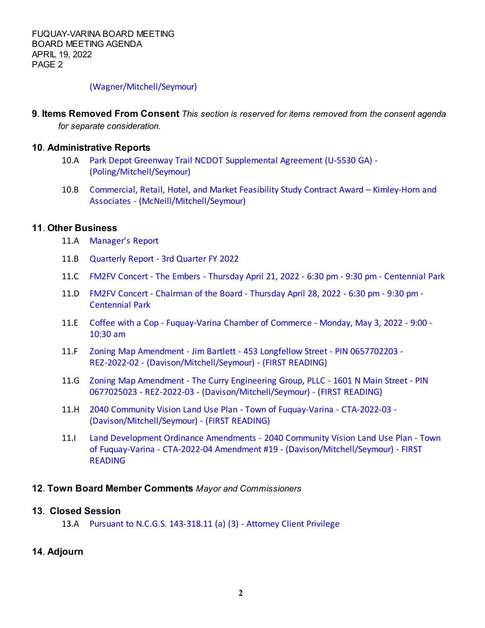### [\(Wagner/Mitchell/Seymour\)](https://d2kbkoa27fdvtw.cloudfront.net/fuquay-varina/fb99d90f1bd3dcd3703e4da8250804fa0.pdf)

**9**. **Items Removed From Consent** *This section is reserved for items removed from the consent agenda for separate consideration.*

### **10**. **Administrative Reports**

- 10.A [Park Depot Greenway Trail NCDOT Supplemental Agreement \(U-5530 GA\) -](https://d2kbkoa27fdvtw.cloudfront.net/fuquay-varina/c658ca0696ceb869f9c35a419af1f9f40.pdf) [\(Poling/Mitchell/Seymour\)](https://d2kbkoa27fdvtw.cloudfront.net/fuquay-varina/c658ca0696ceb869f9c35a419af1f9f40.pdf)
- 10.B [Commercial, Retail, Hotel, and Market Feasibility Study Contract Award Kimley-Horn and](https://d2kbkoa27fdvtw.cloudfront.net/fuquay-varina/8a208a68b726b4364bf468ff2fbe75660.pdf) [Associates - \(McNeill/Mitchell/Seymour\)](https://d2kbkoa27fdvtw.cloudfront.net/fuquay-varina/8a208a68b726b4364bf468ff2fbe75660.pdf)

# **11**. **Other Business**

- 11.A [Manager's Report](https://d2kbkoa27fdvtw.cloudfront.net/fuquay-varina/3680a330ac897c0bd99c9bb6e99b36110.pdf)
- 11.B [Quarterly Report 3rd Quarter FY 2022](https://d2kbkoa27fdvtw.cloudfront.net/fuquay-varina/cf9bbb13cefb0e014d772321131aaf820.pdf)
- 11.C [FM2FV Concert The Embers Thursday April 21, 2022 6:30 pm 9:30 pm Centennial Park](https://d2kbkoa27fdvtw.cloudfront.net/fuquay-varina/4981575e910fce1a827bb4850ede8aaa0.pdf)
- 11.D [FM2FV Concert Chairman of the Board Thursday April 28, 2022 6:30 pm 9:30 pm -](https://d2kbkoa27fdvtw.cloudfront.net/fuquay-varina/31e5d1c6841541e9d9788a7a9c8b575f0.pdf) [Centennial Park](https://d2kbkoa27fdvtw.cloudfront.net/fuquay-varina/31e5d1c6841541e9d9788a7a9c8b575f0.pdf)
- 11.E [Coffee with a Cop Fuquay-Varina Chamber of Commerce Monday, May 3, 2022 9:00 -](https://d2kbkoa27fdvtw.cloudfront.net/fuquay-varina/e8177b76114504bb79daddac56dac3ae0.pdf) [10:30 am](https://d2kbkoa27fdvtw.cloudfront.net/fuquay-varina/e8177b76114504bb79daddac56dac3ae0.pdf)
- 11.F [Zoning Map Amendment Jim Bartlett 453 Longfellow Street PIN 0657702203 -](https://d2kbkoa27fdvtw.cloudfront.net/fuquay-varina/1eda419cc727167a99e292c4c70d41510.pdf) [REZ-2022-02 - \(Davison/Mitchell/Seymour\) - \(FIRST READING\)](https://d2kbkoa27fdvtw.cloudfront.net/fuquay-varina/1eda419cc727167a99e292c4c70d41510.pdf)
- 11.G [Zoning Map Amendment The Curry Engineering Group, PLLC 1601 N Main Street PIN](https://d2kbkoa27fdvtw.cloudfront.net/fuquay-varina/df647466aa2714390b19a42e75eb17840.pdf) [0677025023 - REZ-2022-03 - \(Davison/Mitchell/Seymour\) - \(FIRST READING\)](https://d2kbkoa27fdvtw.cloudfront.net/fuquay-varina/df647466aa2714390b19a42e75eb17840.pdf)
- 11.H [2040 Community Vision Land Use Plan Town of Fuquay-Varina CTA-2022-03 -](https://d2kbkoa27fdvtw.cloudfront.net/fuquay-varina/828576bd0b9b2ee58862dcc9a0144da60.pdf) [\(Davison/Mitchell/Seymour\) - \(FIRST READING\)](https://d2kbkoa27fdvtw.cloudfront.net/fuquay-varina/828576bd0b9b2ee58862dcc9a0144da60.pdf)
- 11.I [Land Development Ordinance Amendments 2040 Community Vision Land Use Plan Town](https://d2kbkoa27fdvtw.cloudfront.net/fuquay-varina/44d2f8b6e344cd199fffe503f08a555b0.pdf) [of Fuquay-Varina - CTA-2022-04 Amendment #19 - \(Davison/Mitchell/Seymour\) - FIRST](https://d2kbkoa27fdvtw.cloudfront.net/fuquay-varina/44d2f8b6e344cd199fffe503f08a555b0.pdf) [READING](https://d2kbkoa27fdvtw.cloudfront.net/fuquay-varina/44d2f8b6e344cd199fffe503f08a555b0.pdf)

## **12**. **Town Board Member Comments** *Mayor and Commissioners*

# **13**. **Closed Session**

13.A [Pursuant to N.C.G.S. 143-318.11 \(a\) \(3\) - Attorney Client Privilege](https://d2kbkoa27fdvtw.cloudfront.net/fuquay-varina/e8d9cd660cad776ae5fe519745cd82530.pdf)

**14**. **Adjourn**